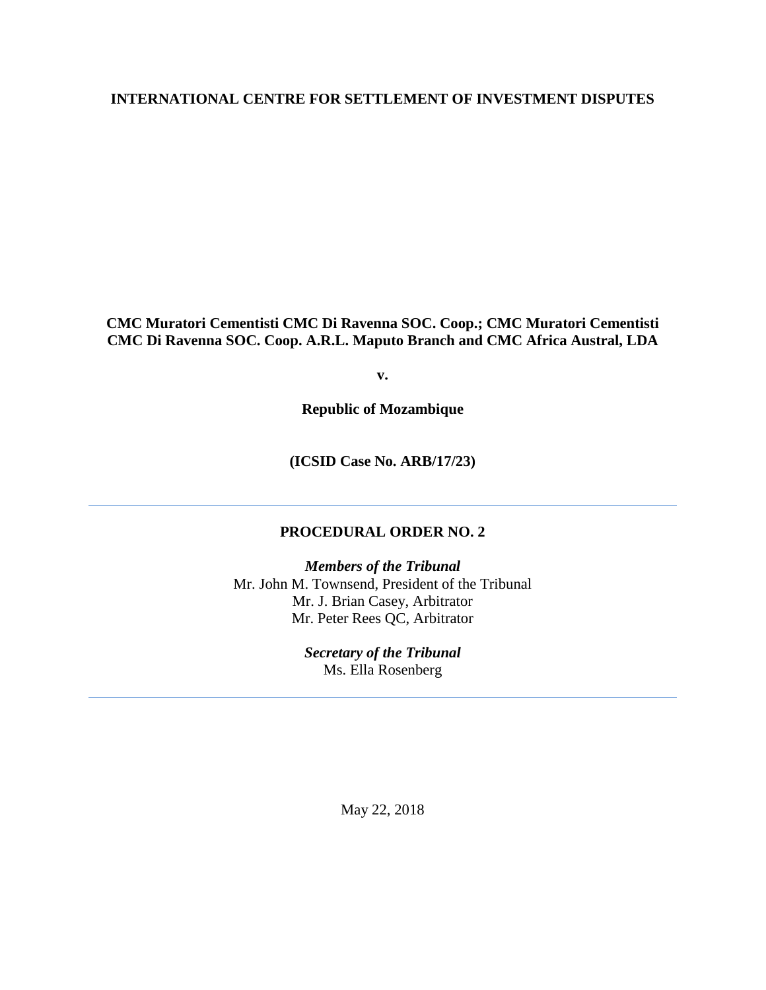## **INTERNATIONAL CENTRE FOR SETTLEMENT OF INVESTMENT DISPUTES**

**CMC Muratori Cementisti CMC Di Ravenna SOC. Coop.; CMC Muratori Cementisti CMC Di Ravenna SOC. Coop. A.R.L. Maputo Branch and CMC Africa Austral, LDA**

**v.**

**Republic of Mozambique**

**(ICSID Case No. ARB/17/23)** 

## **PROCEDURAL ORDER NO. 2**

*Members of the Tribunal* Mr. John M. Townsend, President of the Tribunal Mr. J. Brian Casey, Arbitrator Mr. Peter Rees QC, Arbitrator

> *Secretary of the Tribunal* Ms. Ella Rosenberg

> > May 22, 2018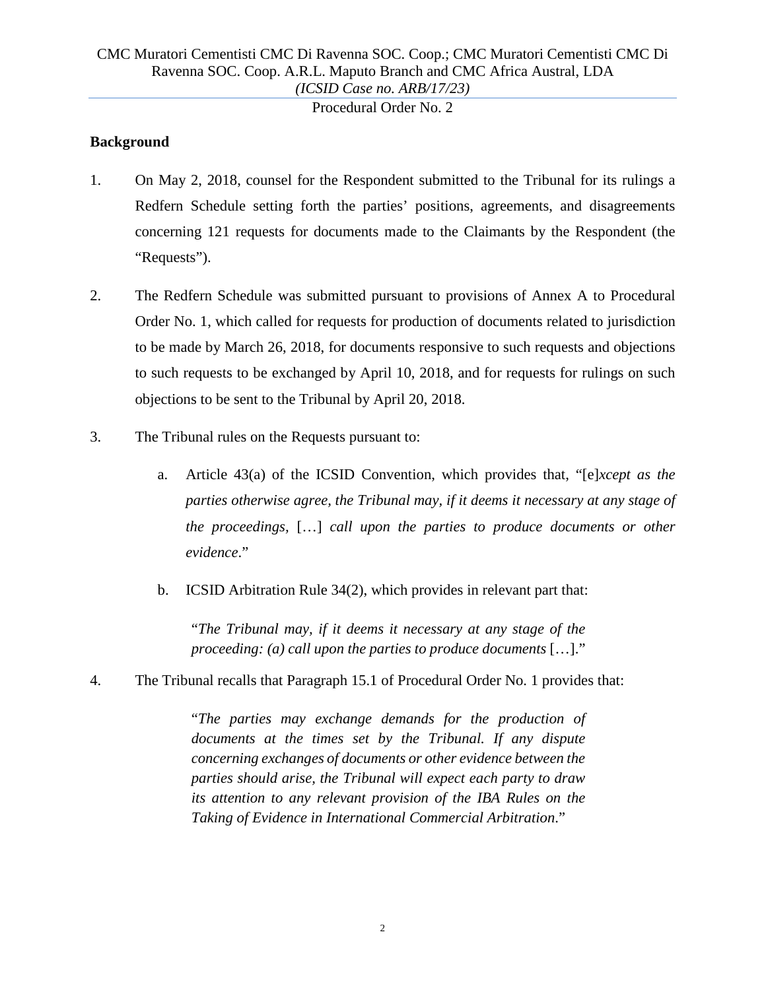Procedural Order No. 2

## **Background**

- 1. On May 2, 2018, counsel for the Respondent submitted to the Tribunal for its rulings a Redfern Schedule setting forth the parties' positions, agreements, and disagreements concerning 121 requests for documents made to the Claimants by the Respondent (the "Requests").
- 2. The Redfern Schedule was submitted pursuant to provisions of Annex A to Procedural Order No. 1, which called for requests for production of documents related to jurisdiction to be made by March 26, 2018, for documents responsive to such requests and objections to such requests to be exchanged by April 10, 2018, and for requests for rulings on such objections to be sent to the Tribunal by April 20, 2018.
- 3. The Tribunal rules on the Requests pursuant to:
	- a. Article 43(a) of the ICSID Convention, which provides that, "[e]*xcept as the parties otherwise agree, the Tribunal may, if it deems it necessary at any stage of the proceedings,* […] *call upon the parties to produce documents or other evidence*."
	- b. ICSID Arbitration Rule 34(2), which provides in relevant part that:

"*The Tribunal may, if it deems it necessary at any stage of the proceeding: (a) call upon the parties to produce documents* […]."

4. The Tribunal recalls that Paragraph 15.1 of Procedural Order No. 1 provides that:

"*The parties may exchange demands for the production of documents at the times set by the Tribunal. If any dispute concerning exchanges of documents or other evidence between the parties should arise, the Tribunal will expect each party to draw*  its attention to any relevant provision of the IBA Rules on the *Taking of Evidence in International Commercial Arbitration*."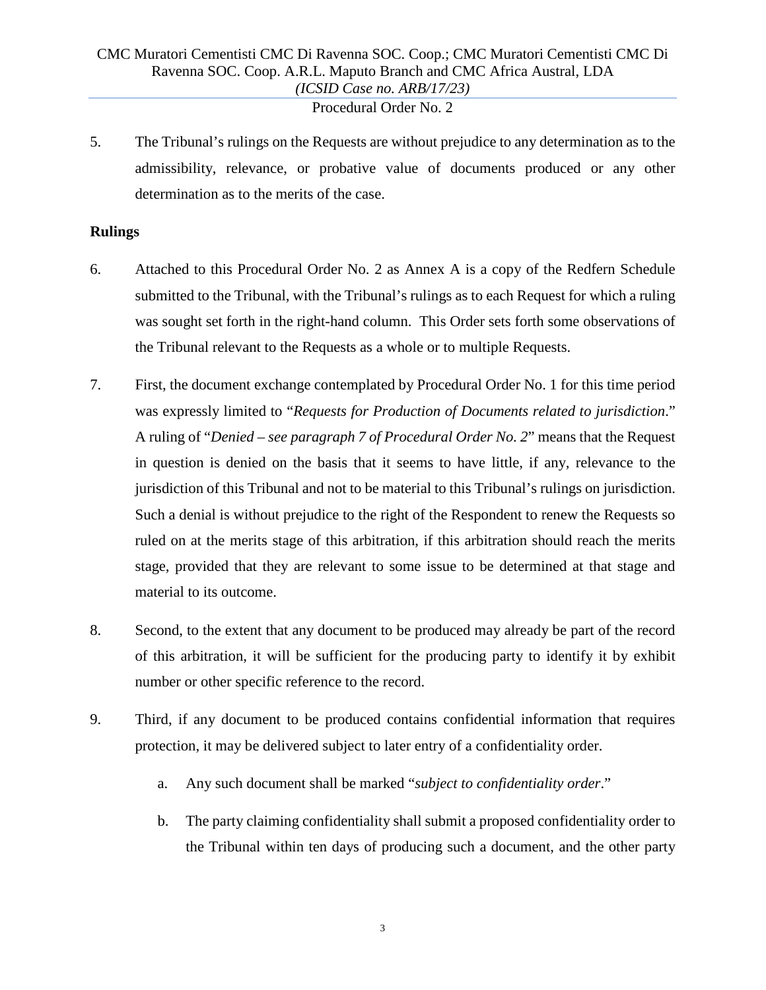Procedural Order No. 2

5. The Tribunal's rulings on the Requests are without prejudice to any determination as to the admissibility, relevance, or probative value of documents produced or any other determination as to the merits of the case.

## **Rulings**

- 6. Attached to this Procedural Order No. 2 as Annex A is a copy of the Redfern Schedule submitted to the Tribunal, with the Tribunal's rulings as to each Request for which a ruling was sought set forth in the right-hand column. This Order sets forth some observations of the Tribunal relevant to the Requests as a whole or to multiple Requests.
- 7. First, the document exchange contemplated by Procedural Order No. 1 for this time period was expressly limited to "*Requests for Production of Documents related to jurisdiction*." A ruling of "*Denied – see paragraph 7 of Procedural Order No. 2*" means that the Request in question is denied on the basis that it seems to have little, if any, relevance to the jurisdiction of this Tribunal and not to be material to this Tribunal's rulings on jurisdiction. Such a denial is without prejudice to the right of the Respondent to renew the Requests so ruled on at the merits stage of this arbitration, if this arbitration should reach the merits stage, provided that they are relevant to some issue to be determined at that stage and material to its outcome.
- 8. Second, to the extent that any document to be produced may already be part of the record of this arbitration, it will be sufficient for the producing party to identify it by exhibit number or other specific reference to the record.
- 9. Third, if any document to be produced contains confidential information that requires protection, it may be delivered subject to later entry of a confidentiality order.
	- a. Any such document shall be marked "*subject to confidentiality order*."
	- b. The party claiming confidentiality shall submit a proposed confidentiality order to the Tribunal within ten days of producing such a document, and the other party